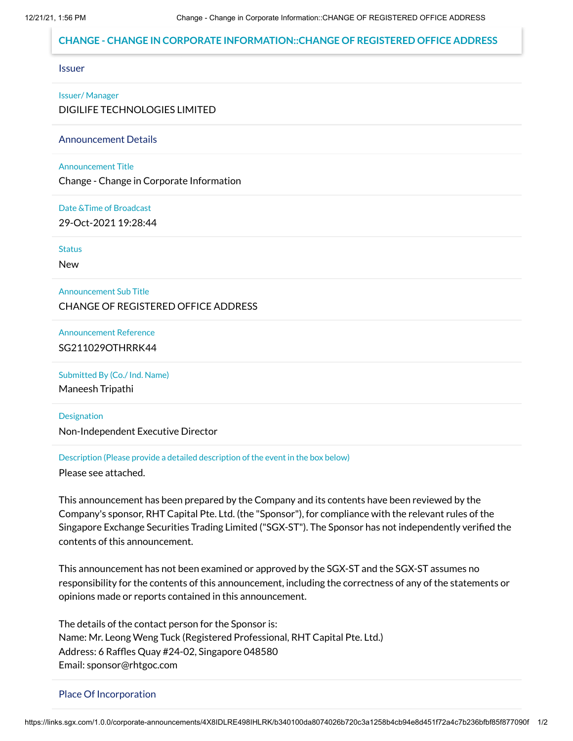## **CHANGE - CHANGE IN CORPORATE INFORMATION::CHANGE OF REGISTERED OFFICE ADDRESS**

#### Issuer

#### Issuer/ Manager

DIGILIFE TECHNOLOGIES LIMITED

Announcement Details

#### Announcement Title

Change - Change in Corporate Information

### Date &Time of Broadcast

29-Oct-2021 19:28:44

**Status** 

New

### Announcement Sub Title

CHANGE OF REGISTERED OFFICE ADDRESS

## Announcement Reference SG211029OTHRRK44

### Submitted By (Co./ Ind. Name)

Maneesh Tripathi

#### Designation

Non-Independent Executive Director

## Description (Please provide a detailed description of the event in the box below)

Please see attached.

This announcement has been prepared by the Company and its contents have been reviewed by the Company's sponsor, RHT Capital Pte. Ltd. (the "Sponsor"), for compliance with the relevant rules of the Singapore Exchange Securities Trading Limited ("SGX-ST"). The Sponsor has not independently verified the contents of this announcement.

This announcement has not been examined or approved by the SGX-ST and the SGX-ST assumes no responsibility for the contents of this announcement, including the correctness of any of the statements or opinions made or reports contained in this announcement.

The details of the contact person for the Sponsor is: Name: Mr. Leong Weng Tuck (Registered Professional, RHT Capital Pte. Ltd.) Address: 6 Raffles Quay #24-02, Singapore 048580 Email: sponsor@rhtgoc.com

#### Place Of Incorporation